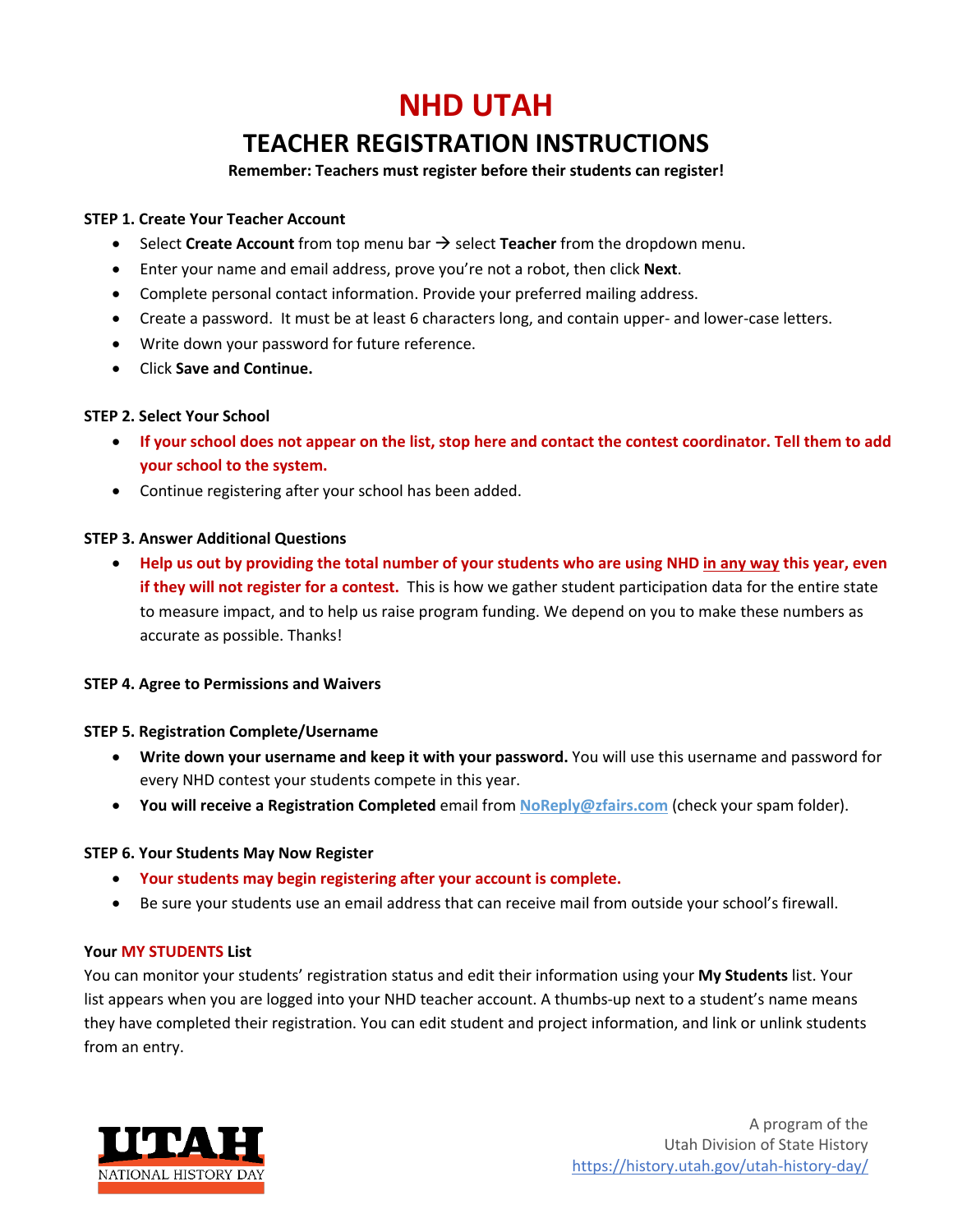## **NHD UTAH**

### **TEACHER REGISTRATION INSTRUCTIONS**

#### **Remember: Teachers must register before their students can register!**

#### **STEP 1. Create Your Teacher Account**

- Select **Create Account** from top menu bar  $\rightarrow$  select **Teacher** from the dropdown menu.
- Enter your name and email address, prove you're not a robot, then click **Next**.
- Complete personal contact information. Provide your preferred mailing address.
- Create a password. It must be at least 6 characters long, and contain upper- and lower-case letters.
- Write down your password for future reference.
- Click **Save and Continue.**

#### **STEP 2. Select Your School**

- **If your school does not appear on the list, stop here and contact the contest coordinator. Tell them to add your school to the system.**
- Continue registering after your school has been added.

#### **STEP 3. Answer Additional Questions**

• **Help us out by providing the total number of your students who are using NHD in any way this year, even if they will not register for a contest.** This is how we gather student participation data for the entire state to measure impact, and to help us raise program funding. We depend on you to make these numbers as accurate as possible. Thanks!

#### **STEP 4. Agree to Permissions and Waivers**

#### **STEP 5. Registration Complete/Username**

- **Write down your username and keep it with your password.** You will use this username and password for every NHD contest your students compete in this year.
- **You will receive a Registration Completed** email from **NoReply@zfairs.com** (check your spam folder).

#### **STEP 6. Your Students May Now Register**

- **Your students may begin registering after your account is complete.**
- Be sure your students use an email address that can receive mail from outside your school's firewall.

#### **Your MY STUDENTS List**

You can monitor your students' registration status and edit their information using your **My Students** list. Your list appears when you are logged into your NHD teacher account. A thumbs-up next to a student's name means they have completed their registration. You can edit student and project information, and link or unlink students from an entry.

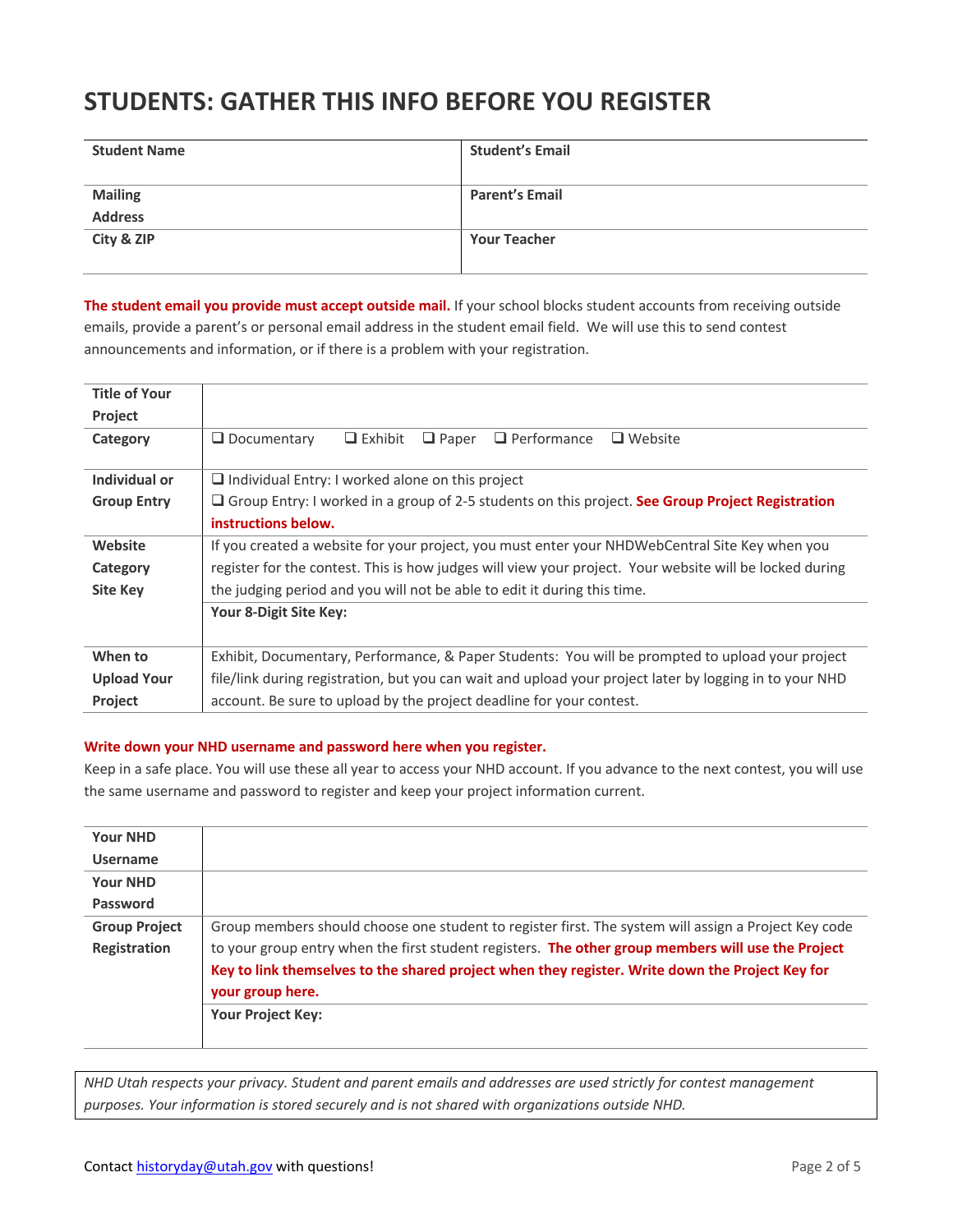### **STUDENTS: GATHER THIS INFO BEFORE YOU REGISTER**

| <b>Student Name</b>              | <b>Student's Email</b> |
|----------------------------------|------------------------|
| <b>Mailing</b><br><b>Address</b> | <b>Parent's Email</b>  |
| City & ZIP                       | <b>Your Teacher</b>    |

**The student email you provide must accept outside mail.** If your school blocks student accounts from receiving outside emails, provide a parent's or personal email address in the student email field. We will use this to send contest announcements and information, or if there is a problem with your registration.

| <b>Title of Your</b> |                                                                                                         |  |  |
|----------------------|---------------------------------------------------------------------------------------------------------|--|--|
| Project              |                                                                                                         |  |  |
| Category             | $\Box$ Performance<br>$\Box$ Website<br>$\Box$ Documentary<br>$\Box$ Exhibit<br>$\Box$ Paper            |  |  |
| Individual or        | $\Box$ Individual Entry: I worked alone on this project                                                 |  |  |
| <b>Group Entry</b>   | $\Box$ Group Entry: I worked in a group of 2-5 students on this project. See Group Project Registration |  |  |
|                      | instructions below.                                                                                     |  |  |
| Website              | If you created a website for your project, you must enter your NHDWebCentral Site Key when you          |  |  |
| Category             | register for the contest. This is how judges will view your project. Your website will be locked during |  |  |
| <b>Site Key</b>      | the judging period and you will not be able to edit it during this time.                                |  |  |
|                      | Your 8-Digit Site Key:                                                                                  |  |  |
|                      |                                                                                                         |  |  |
| When to              | Exhibit, Documentary, Performance, & Paper Students: You will be prompted to upload your project        |  |  |
| <b>Upload Your</b>   | file/link during registration, but you can wait and upload your project later by logging in to your NHD |  |  |
| <b>Project</b>       | account. Be sure to upload by the project deadline for your contest.                                    |  |  |

#### **Write down your NHD username and password here when you register.**

Keep in a safe place. You will use these all year to access your NHD account. If you advance to the next contest, you will use the same username and password to register and keep your project information current.

| <b>Your NHD</b>      |                                                                                                      |  |
|----------------------|------------------------------------------------------------------------------------------------------|--|
| <b>Username</b>      |                                                                                                      |  |
| <b>Your NHD</b>      |                                                                                                      |  |
| Password             |                                                                                                      |  |
| <b>Group Project</b> | Group members should choose one student to register first. The system will assign a Project Key code |  |
| Registration         | to your group entry when the first student registers. The other group members will use the Project   |  |
|                      | Key to link themselves to the shared project when they register. Write down the Project Key for      |  |
|                      | your group here.                                                                                     |  |
|                      | <b>Your Project Key:</b>                                                                             |  |
|                      |                                                                                                      |  |

*NHD Utah respects your privacy. Student and parent emails and addresses are used strictly for contest management purposes. Your information is stored securely and is not shared with organizations outside NHD.*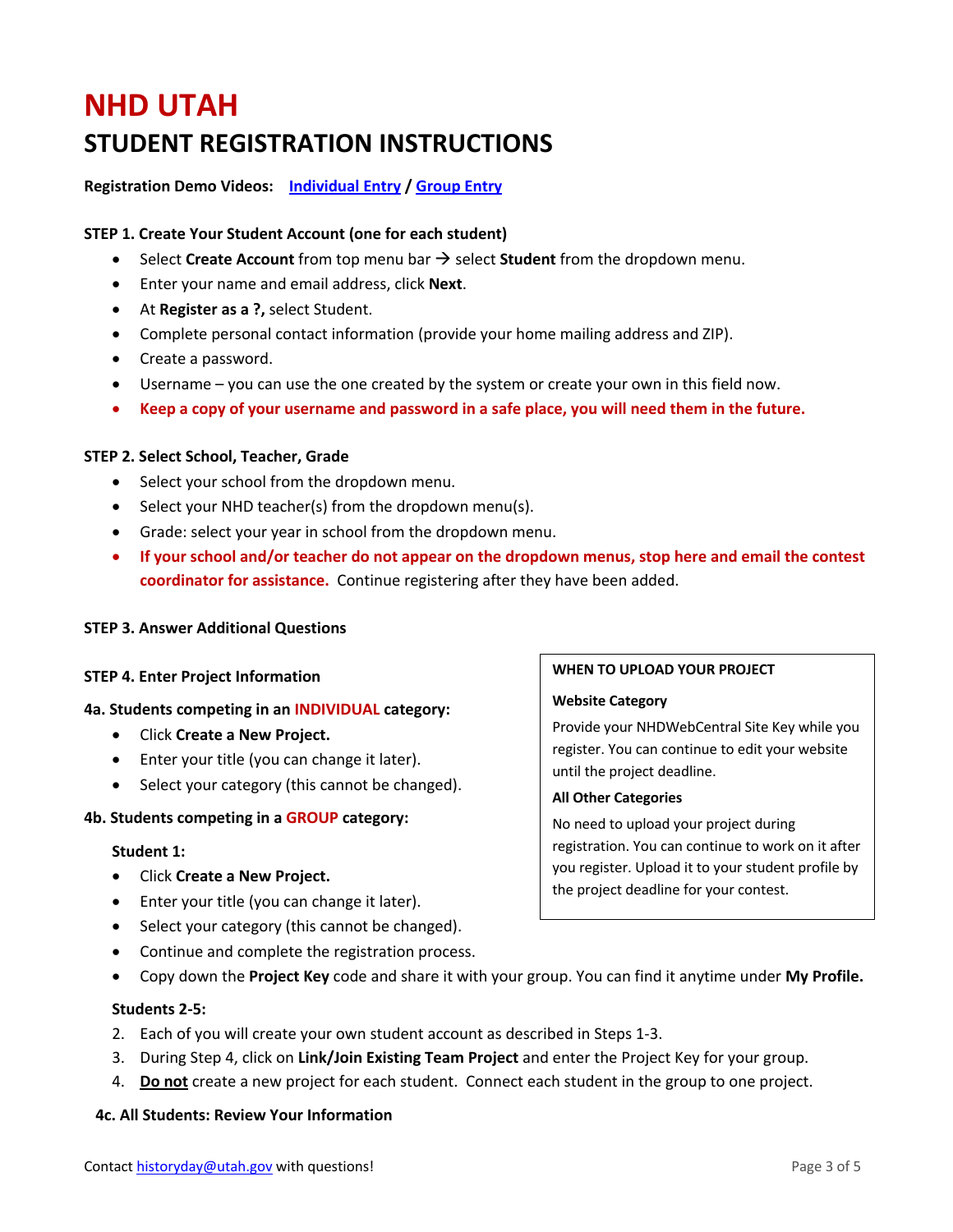# **NHD UTAH STUDENT REGISTRATION INSTRUCTIONS**

**Registration Demo Videos: Individual Entry / Group Entry**

#### **STEP 1. Create Your Student Account (one for each student)**

- $\bullet$  Select **Create Account** from top menu bar  $\rightarrow$  select **Student** from the dropdown menu.
- Enter your name and email address, click **Next**.
- At **Register as a ?,** select Student.
- Complete personal contact information (provide your home mailing address and ZIP).
- Create a password.
- Username you can use the one created by the system or create your own in this field now.
- **Keep a copy of your username and password in a safe place, you will need them in the future.**

#### **STEP 2. Select School, Teacher, Grade**

- Select your school from the dropdown menu.
- Select your NHD teacher(s) from the dropdown menu(s).
- Grade: select your year in school from the dropdown menu.
- **If your school and/or teacher do not appear on the dropdown menus, stop here and email the contest coordinator for assistance.** Continue registering after they have been added.

#### **STEP 3. Answer Additional Questions**

#### **STEP 4. Enter Project Information**

#### **4a. Students competing in an INDIVIDUAL category:**

- Click **Create a New Project.**
- Enter your title (you can change it later).
- Select your category (this cannot be changed).

#### **4b. Students competing in a GROUP category:**

#### **Student 1:**

- Click **Create a New Project.**
- Enter your title (you can change it later).
- Select your category (this cannot be changed).
- Continue and complete the registration process.
- Copy down the **Project Key** code and share it with your group. You can find it anytime under **My Profile.**

#### **Students 2-5:**

- 2. Each of you will create your own student account as described in Steps 1-3.
- 3. During Step 4, click on **Link/Join Existing Team Project** and enter the Project Key for your group.
- 4. **Do not** create a new project for each student. Connect each student in the group to one project.

#### **4c. All Students: Review Your Information**

#### **WHEN TO UPLOAD YOUR PROJECT**

#### **Website Category**

Provide your NHDWebCentral Site Key while you register. You can continue to edit your website until the project deadline.

#### **All Other Categories**

No need to upload your project during registration. You can continue to work on it after you register. Upload it to your student profile by the project deadline for your contest.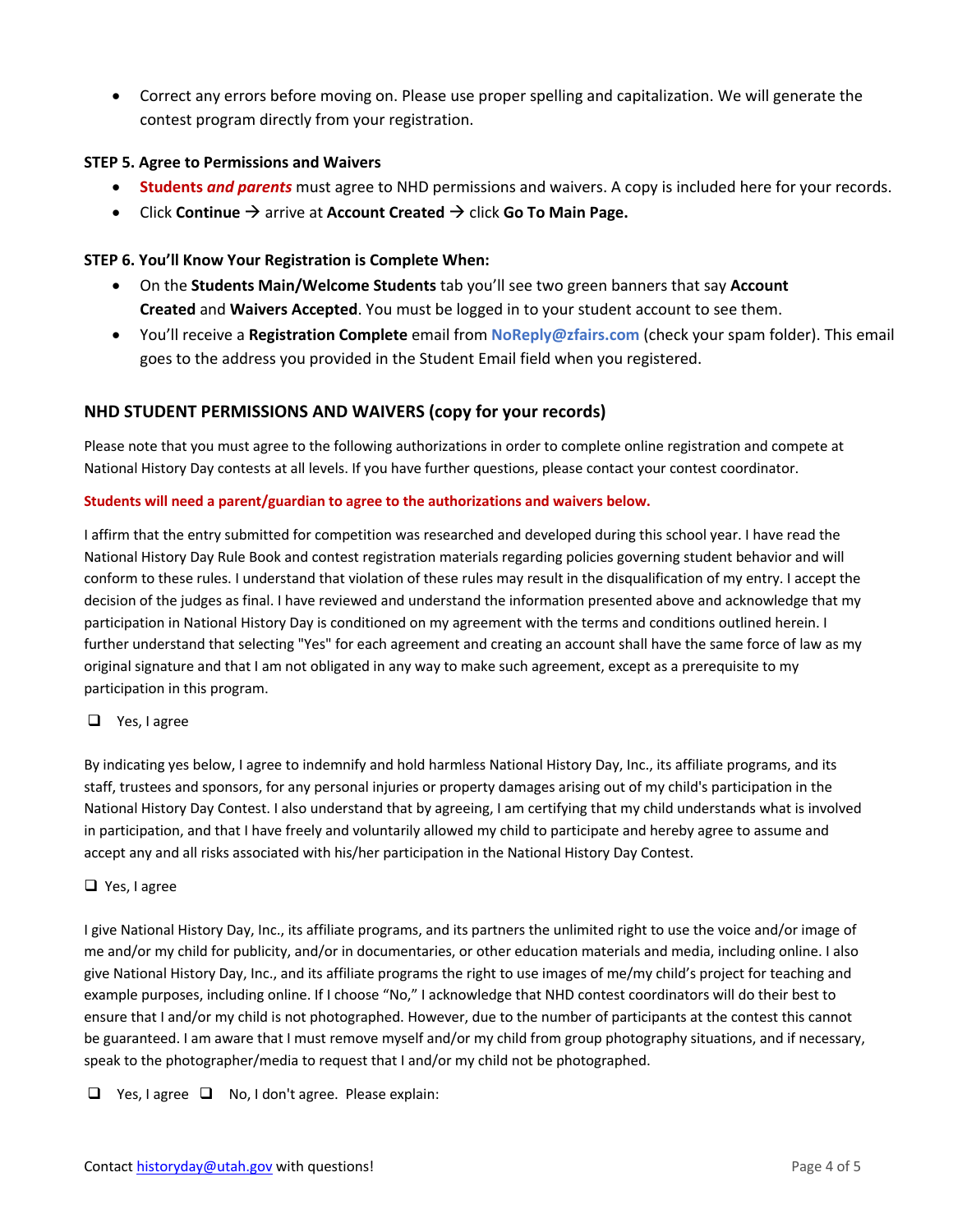• Correct any errors before moving on. Please use proper spelling and capitalization. We will generate the contest program directly from your registration.

#### **STEP 5. Agree to Permissions and Waivers**

- **Students** *and parents* must agree to NHD permissions and waivers. A copy is included here for your records.
- Click **Continue**  $\rightarrow$  arrive at **Account Created**  $\rightarrow$  click **Go To Main Page.**

#### **STEP 6. You'll Know Your Registration is Complete When:**

- On the **Students Main/Welcome Students** tab you'll see two green banners that say **Account Created** and **Waivers Accepted**. You must be logged in to your student account to see them.
- You'll receive a **Registration Complete** email from **NoReply@zfairs.com** (check your spam folder). This email goes to the address you provided in the Student Email field when you registered.

#### **NHD STUDENT PERMISSIONS AND WAIVERS (copy for your records)**

Please note that you must agree to the following authorizations in order to complete online registration and compete at National History Day contests at all levels. If you have further questions, please contact your contest coordinator.

#### **Students will need a parent/guardian to agree to the authorizations and waivers below.**

I affirm that the entry submitted for competition was researched and developed during this school year. I have read the National History Day Rule Book and contest registration materials regarding policies governing student behavior and will conform to these rules. I understand that violation of these rules may result in the disqualification of my entry. I accept the decision of the judges as final. I have reviewed and understand the information presented above and acknowledge that my participation in National History Day is conditioned on my agreement with the terms and conditions outlined herein. I further understand that selecting "Yes" for each agreement and creating an account shall have the same force of law as my original signature and that I am not obligated in any way to make such agreement, except as a prerequisite to my participation in this program.

#### $\Box$  Yes, I agree

By indicating yes below, I agree to indemnify and hold harmless National History Day, Inc., its affiliate programs, and its staff, trustees and sponsors, for any personal injuries or property damages arising out of my child's participation in the National History Day Contest. I also understand that by agreeing, I am certifying that my child understands what is involved in participation, and that I have freely and voluntarily allowed my child to participate and hereby agree to assume and accept any and all risks associated with his/her participation in the National History Day Contest.

#### $\Box$  Yes, I agree

I give National History Day, Inc., its affiliate programs, and its partners the unlimited right to use the voice and/or image of me and/or my child for publicity, and/or in documentaries, or other education materials and media, including online. I also give National History Day, Inc., and its affiliate programs the right to use images of me/my child's project for teaching and example purposes, including online. If I choose "No," I acknowledge that NHD contest coordinators will do their best to ensure that I and/or my child is not photographed. However, due to the number of participants at the contest this cannot be guaranteed. I am aware that I must remove myself and/or my child from group photography situations, and if necessary, speak to the photographer/media to request that I and/or my child not be photographed.

 $\Box$  Yes, I agree  $\Box$  No, I don't agree. Please explain: